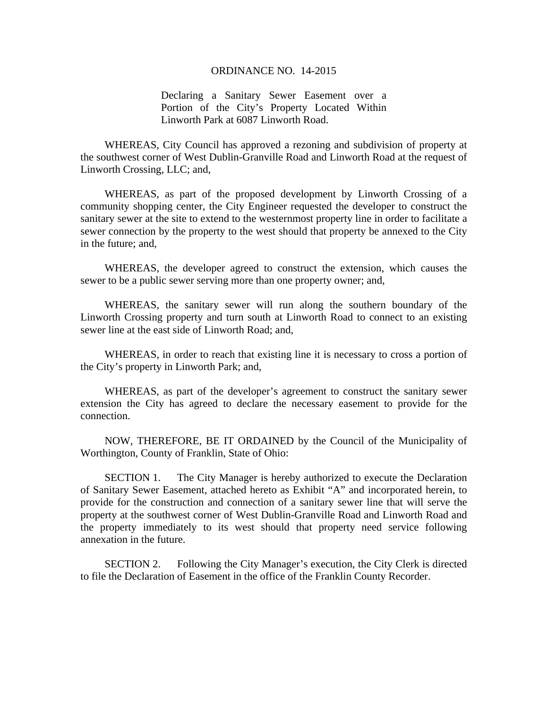## ORDINANCE NO. 14-2015

Declaring a Sanitary Sewer Easement over a Portion of the City's Property Located Within Linworth Park at 6087 Linworth Road.

WHEREAS, City Council has approved a rezoning and subdivision of property at the southwest corner of West Dublin-Granville Road and Linworth Road at the request of Linworth Crossing, LLC; and,

WHEREAS, as part of the proposed development by Linworth Crossing of a community shopping center, the City Engineer requested the developer to construct the sanitary sewer at the site to extend to the westernmost property line in order to facilitate a sewer connection by the property to the west should that property be annexed to the City in the future; and,

WHEREAS, the developer agreed to construct the extension, which causes the sewer to be a public sewer serving more than one property owner; and,

WHEREAS, the sanitary sewer will run along the southern boundary of the Linworth Crossing property and turn south at Linworth Road to connect to an existing sewer line at the east side of Linworth Road; and,

WHEREAS, in order to reach that existing line it is necessary to cross a portion of the City's property in Linworth Park; and,

WHEREAS, as part of the developer's agreement to construct the sanitary sewer extension the City has agreed to declare the necessary easement to provide for the connection.

NOW, THEREFORE, BE IT ORDAINED by the Council of the Municipality of Worthington, County of Franklin, State of Ohio:

SECTION 1. The City Manager is hereby authorized to execute the Declaration of Sanitary Sewer Easement, attached hereto as Exhibit "A" and incorporated herein, to provide for the construction and connection of a sanitary sewer line that will serve the property at the southwest corner of West Dublin-Granville Road and Linworth Road and the property immediately to its west should that property need service following annexation in the future.

SECTION 2. Following the City Manager's execution, the City Clerk is directed to file the Declaration of Easement in the office of the Franklin County Recorder.